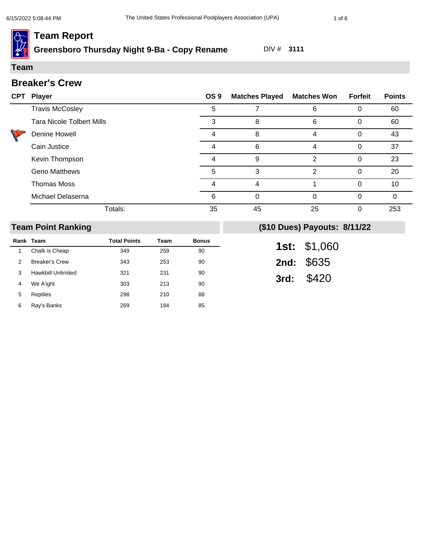## **Greensboro Thursday Night 9-Ba - Copy Rename** DIV # **3111**

#### **Team**

### **Breaker's Crew**

| <b>CPT</b> | <b>Player</b>                    | OS <sub>9</sub> | <b>Matches Played</b> | <b>Matches Won</b> | <b>Forfeit</b> | <b>Points</b> |
|------------|----------------------------------|-----------------|-----------------------|--------------------|----------------|---------------|
|            | <b>Travis McCosley</b>           | 5               |                       | 6                  |                | 60            |
|            | <b>Tara Nicole Tolbert Mills</b> | 3               | 8                     | 6                  | ∩              | 60            |
|            | Denine Howell                    |                 | 8                     | 4                  |                | 43            |
|            | Cain Justice                     | 4               | 6                     | 4                  | 0              | 37            |
|            | Kevin Thompson                   |                 | 9                     | 2                  | 0              | 23            |
|            | <b>Geno Matthews</b>             | 5               | 3                     | 2                  | ∩              | 20            |
|            | <b>Thomas Moss</b>               |                 |                       |                    | $\Omega$       | 10            |
|            | Michael Delaserna                | 6               |                       | $\Omega$           | ∩              | $\Omega$      |
|            | Totals:                          | 35              | 45                    | 25                 |                | 253           |

## **Team Point Ranking**

|   | Rank Team             | <b>Total Points</b> | Team | <b>Bonus</b> |
|---|-----------------------|---------------------|------|--------------|
| 1 | Chalk is Cheap        | 349                 | 259  | 90           |
| 2 | <b>Breaker's Crew</b> | 343                 | 253  | 90           |
| 3 | Hawkbill Unlimited    | 321                 | 231  | 90           |
| 4 | We A'ight             | 303                 | 213  | 90           |
| 5 | Reptiles              | 298                 | 210  | 88           |
| 6 | Ray's Banks           | 269                 | 184  | 85           |

| 1st: | \$1,060 |
|------|---------|
| 2nd: | \$635   |
| 3rd: | \$420   |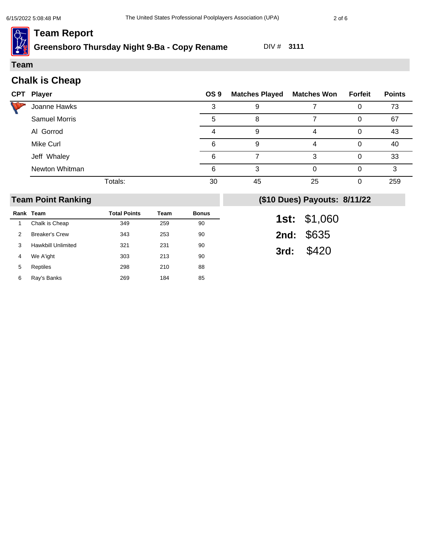**Greensboro Thursday Night 9-Ba - Copy Rename** DIV # **3111**

#### **Team**

| <b>CPT Player</b>    | OS 9 | <b>Matches Played Matches Won</b> |    | <b>Forfeit</b> | <b>Points</b> |
|----------------------|------|-----------------------------------|----|----------------|---------------|
| Joanne Hawks         |      | 9                                 |    | Ü              | 73            |
| <b>Samuel Morris</b> | 5    | 8                                 |    | 0              | 67            |
| Al Gorrod            |      | 9                                 | 4  | Ω              | 43            |
| Mike Curl            | 6    | 9                                 |    | 0              | 40            |
| Jeff Whaley          | 6    |                                   | 3  | 0              | 33            |
| Newton Whitman       | 6    | 3                                 | 0  | O              | 3             |
| Totals:              | 30   | 45                                | 25 | ი              | 259           |

### **Team Point Ranking**

|   | Rank Team                 | <b>Total Points</b> | Team | <b>Bonus</b> |
|---|---------------------------|---------------------|------|--------------|
| 1 | Chalk is Cheap            | 349                 | 259  | 90           |
| 2 | <b>Breaker's Crew</b>     | 343                 | 253  | 90           |
| 3 | <b>Hawkbill Unlimited</b> | 321                 | 231  | 90           |
| 4 | We A'ight                 | 303                 | 213  | 90           |
| 5 | Reptiles                  | 298                 | 210  | 88           |
| 6 | Ray's Banks               | 269                 | 184  | 85           |

| 1st: | \$1,060 |
|------|---------|
| 2nd: | \$635   |
| 3rd: | \$420   |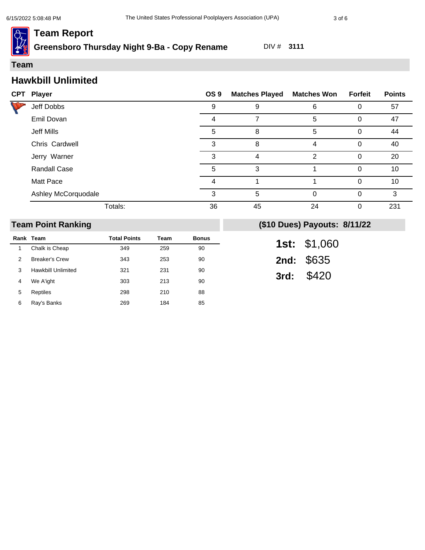**Greensboro Thursday Night 9-Ba - Copy Rename** DIV # **3111**

#### **Team**

### **Hawkbill Unlimited**

|  | <b>CPT Player</b>   | OS <sub>9</sub> | <b>Matches Played</b> | <b>Matches Won</b> | <b>Forfeit</b> | <b>Points</b> |
|--|---------------------|-----------------|-----------------------|--------------------|----------------|---------------|
|  | Jeff Dobbs          | 9               | 9                     | 6                  |                | 57            |
|  | Emil Dovan          | 4               |                       | 5                  | 0              | 47            |
|  | Jeff Mills          | 5               | 8                     | 5                  | 0              | 44            |
|  | Chris Cardwell      | 3               | 8                     | 4                  | 0              | 40            |
|  | Jerry Warner        | 3               | 4                     | 2                  | 0              | 20            |
|  | <b>Randall Case</b> | 5               | 3                     |                    | 0              | 10            |
|  | Matt Pace           | 4               |                       |                    | $\Omega$       | 10            |
|  | Ashley McCorquodale | 3               | 5                     | $\Omega$           | 0              | 3             |
|  | Totals:             | 36              | 45                    | 24                 | 0              | 231           |

### **Team Point Ranking**

|   | Rank Team             | <b>Total Points</b> | Team | <b>Bonus</b> |
|---|-----------------------|---------------------|------|--------------|
| 1 | Chalk is Cheap        | 349                 | 259  | 90           |
| 2 | <b>Breaker's Crew</b> | 343                 | 253  | 90           |
| 3 | Hawkbill Unlimited    | 321                 | 231  | 90           |
| 4 | We A'ight             | 303                 | 213  | 90           |
| 5 | Reptiles              | 298                 | 210  | 88           |
| 6 | Ray's Banks           | 269                 | 184  | 85           |

| 1st: | \$1,060 |
|------|---------|
| 2nd: | \$635   |
| 3rd: | \$420   |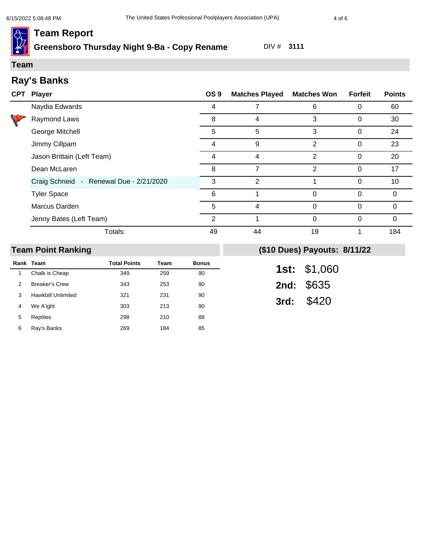# **Greensboro Thursday Night 9-Ba - Copy Rename** DIV # **3111**

#### **Team**

# **Ray's Banks**

| CPT Player                              | OS <sub>9</sub> | <b>Matches Played</b> | <b>Matches Won</b> | <b>Forfeit</b> | <b>Points</b> |
|-----------------------------------------|-----------------|-----------------------|--------------------|----------------|---------------|
| Naydia Edwards                          | 4               |                       | 6                  | 0              | 60            |
| Raymond Laws                            | 8               | 4                     | 3                  | 0              | 30            |
| George Mitchell                         | 5               | 5                     | 3                  | 0              | 24            |
| Jimmy Cillpam                           | 4               | 9                     | 2                  | 0              | 23            |
| Jason Brittain (Left Team)              | 4               | 4                     | $\overline{2}$     | 0              | 20            |
| Dean McLaren                            | 8               | 7                     | $\overline{2}$     | 0              | 17            |
| Craig Schneid - Renewal Due - 2/21/2020 | 3               | 2                     |                    | $\Omega$       | 10            |
| <b>Tyler Space</b>                      | 6               |                       | 0                  | $\Omega$       | $\Omega$      |
| Marcus Darden                           | 5               | 4                     | 0                  | $\Omega$       | 0             |
| Jenny Bates (Left Team)                 | 2               |                       | 0                  | 0              | 0             |
| Totals:                                 | 49              | 44                    | 19                 |                | 184           |

## **Team Point Ranking**

|   | Rank Team             | <b>Total Points</b> | Team | <b>Bonus</b> |
|---|-----------------------|---------------------|------|--------------|
| 1 | Chalk is Cheap        | 349                 | 259  | 90           |
| 2 | <b>Breaker's Crew</b> | 343                 | 253  | 90           |
| 3 | Hawkbill Unlimited    | 321                 | 231  | 90           |
| 4 | We A'ight             | 303                 | 213  | 90           |
| 5 | Reptiles              | 298                 | 210  | 88           |
| 6 | Ray's Banks           | 269                 | 184  | 85           |

| 1st: | \$1,060 |
|------|---------|
| 2nd: | \$635   |
| 3rd: | \$420   |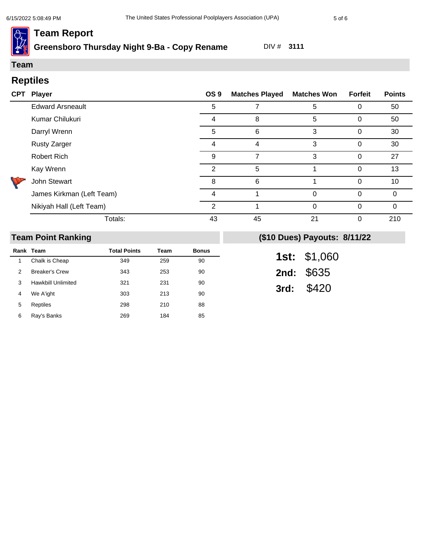# **Greensboro Thursday Night 9-Ba - Copy Rename** DIV # **3111**

# **Reptiles Team**

| <b>CPT</b> | Player                    | OS <sub>9</sub> | <b>Matches Played</b> | <b>Matches Won</b> | Forfeit  | <b>Points</b> |
|------------|---------------------------|-----------------|-----------------------|--------------------|----------|---------------|
|            | <b>Edward Arsneault</b>   | 5               |                       | 5                  | $\Omega$ | 50            |
|            | Kumar Chilukuri           | 4               | 8                     | 5                  | 0        | 50            |
|            | Darryl Wrenn              | 5               | 6                     | 3                  | 0        | 30            |
|            | <b>Rusty Zarger</b>       | 4               | 4                     | 3                  | 0        | 30            |
|            | <b>Robert Rich</b>        | 9               |                       | 3                  | 0        | 27            |
|            | Kay Wrenn                 | $\mathcal{P}$   | 5                     |                    | $\Omega$ | 13            |
|            | John Stewart              | 8               | 6                     |                    | 0        | 10            |
|            | James Kirkman (Left Team) | 4               |                       | 0                  | $\Omega$ | $\Omega$      |
|            | Nikiyah Hall (Left Team)  | っ               |                       | 0                  | $\Omega$ | 0             |
|            | Totals:                   | 43              | 45                    | 21                 | 0        | 210           |

### **Team Point Ranking**

|   | Rank Team             | <b>Total Points</b> | Team | <b>Bonus</b> |
|---|-----------------------|---------------------|------|--------------|
| 1 | Chalk is Cheap        | 349                 | 259  | 90           |
| 2 | <b>Breaker's Crew</b> | 343                 | 253  | 90           |
| 3 | Hawkbill Unlimited    | 321                 | 231  | 90           |
| 4 | We A'ight             | 303                 | 213  | 90           |
| 5 | Reptiles              | 298                 | 210  | 88           |
| 6 | Ray's Banks           | 269                 | 184  | 85           |

| 1st: | \$1,060 |
|------|---------|
| 2nd: | \$635   |
| 3rd: | \$420   |